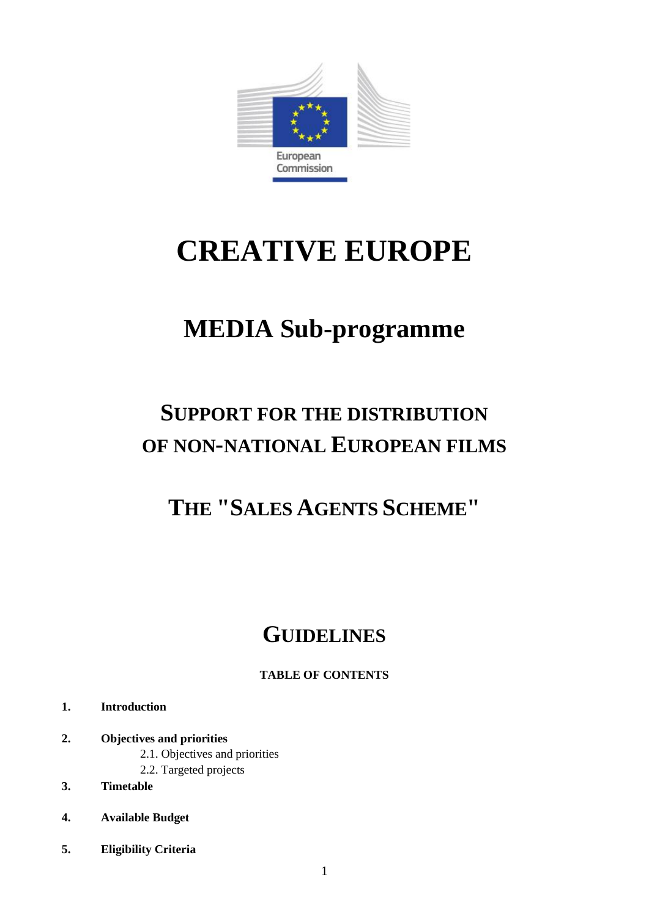

# **CREATIVE EUROPE**

## **MEDIA Sub-programme**

## **SUPPORT FOR THE DISTRIBUTION OF NON-NATIONAL EUROPEAN FILMS**

### **THE "SALES AGENTS SCHEME"**

## **GUIDELINES**

#### **TABLE OF CONTENTS**

- **1. Introduction**
- **2. Objectives and priorities**
	- 2.1. Objectives and priorities
	- 2.2. Targeted projects
- **3. Timetable**
- **4. Available Budget**
- **5. Eligibility Criteria**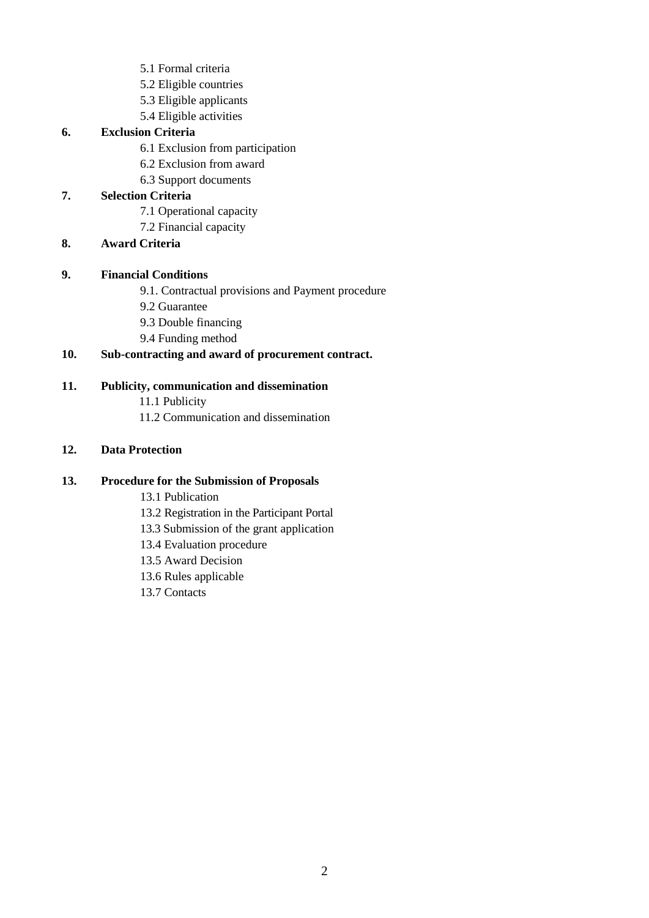- 5.1 Formal criteria
- 5.2 Eligible countries
- 5.3 Eligible applicants
- 5.4 Eligible activities

#### **6. Exclusion Criteria**

- 6.1 Exclusion from participation
- 6.2 Exclusion from award
- 6.3 Support documents

#### **7. Selection Criteria**

- 7.1 Operational capacity
- 7.2 Financial capacity

#### **8. Award Criteria**

#### **9. Financial Conditions**

- 9.1. Contractual provisions and Payment procedure
- 9.2 Guarantee
- 9.3 Double financing
- 9.4 Funding method

#### **10. Sub-contracting and award of procurement contract.**

#### **11. Publicity, communication and dissemination**

- 11.1 Publicity
- 11.2 Communication and dissemination

#### **12. Data Protection**

#### **13. Procedure for the Submission of Proposals**

- 13.1 Publication
- 13.2 Registration in the Participant Portal
- 13.3 Submission of the grant application
- 13.4 Evaluation procedure
- 13.5 Award Decision
- 13.6 Rules applicable
- 13.7 Contacts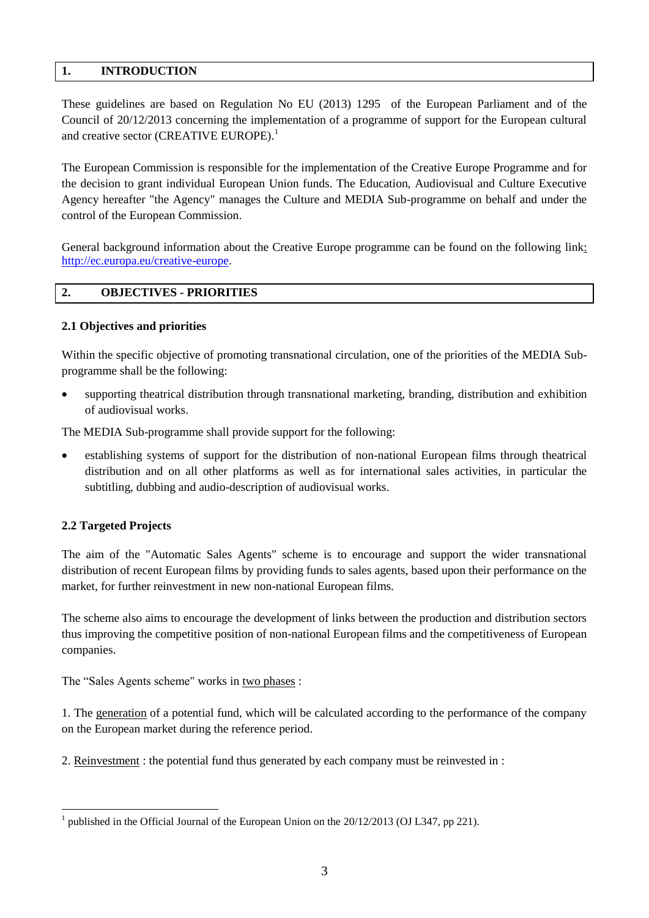#### **1. INTRODUCTION**

These guidelines are based on Regulation No EU (2013) 1295 of the European Parliament and of the Council of 20/12/2013 concerning the implementation of a programme of support for the European cultural and creative sector (CREATIVE EUROPE).<sup>1</sup>

The European Commission is responsible for the implementation of the Creative Europe Programme and for the decision to grant individual European Union funds. The Education, Audiovisual and Culture Executive Agency hereafter "the Agency" manages the Culture and MEDIA Sub-programme on behalf and under the control of the European Commission.

General background information about the Creative Europe programme can be found on the following link: [http://ec.europa.eu/creative-europe.](http://ec.europa.eu/creative-europe)

#### **2. OBJECTIVES - PRIORITIES**

#### **2.1 Objectives and priorities**

Within the specific objective of promoting transnational circulation, one of the priorities of the MEDIA Subprogramme shall be the following:

 supporting theatrical distribution through transnational marketing, branding, distribution and exhibition of audiovisual works.

The MEDIA Sub-programme shall provide support for the following:

 establishing systems of support for the distribution of non-national European films through theatrical distribution and on all other platforms as well as for international sales activities, in particular the subtitling, dubbing and audio-description of audiovisual works.

#### **2.2 Targeted Projects**

1

The aim of the "Automatic Sales Agents" scheme is to encourage and support the wider transnational distribution of recent European films by providing funds to sales agents, based upon their performance on the market, for further reinvestment in new non-national European films.

The scheme also aims to encourage the development of links between the production and distribution sectors thus improving the competitive position of non-national European films and the competitiveness of European companies.

The "Sales Agents scheme" works in two phases :

1. The generation of a potential fund, which will be calculated according to the performance of the company on the European market during the reference period.

2. Reinvestment : the potential fund thus generated by each company must be reinvested in :

<sup>&</sup>lt;sup>1</sup> published in the Official Journal of the European Union on the  $20/12/2013$  (OJ L347, pp 221).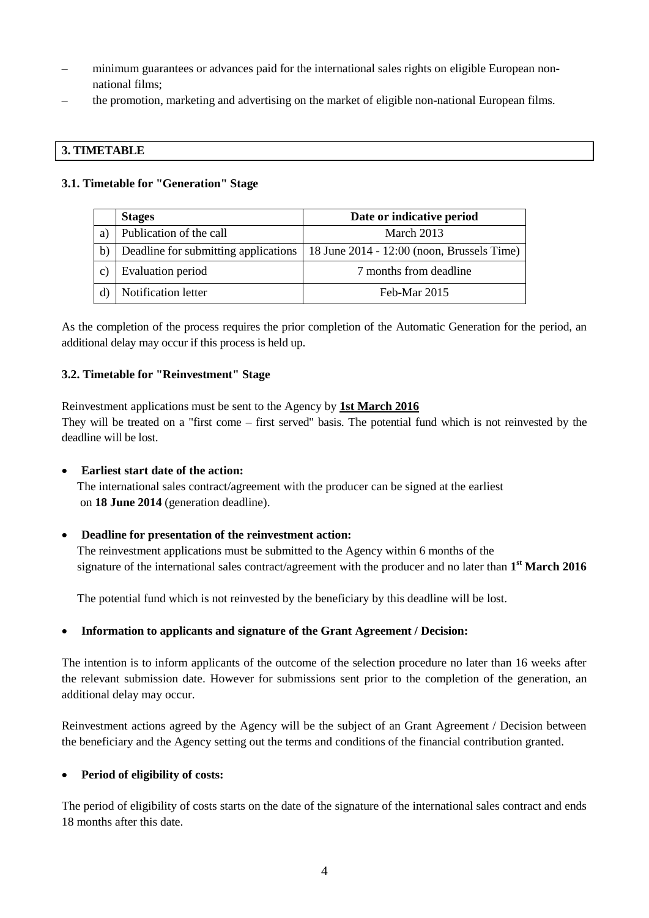- minimum guarantees or advances paid for the international sales rights on eligible European nonnational films;
- the promotion, marketing and advertising on the market of eligible non-national European films.

#### **3. TIMETABLE**

#### **3.1. Timetable for "Generation" Stage**

|             | <b>Stages</b>                        | Date or indicative period                    |
|-------------|--------------------------------------|----------------------------------------------|
| a           | Publication of the call              | March $2013$                                 |
| b)          | Deadline for submitting applications | 18 June $2014 - 12:00$ (noon, Brussels Time) |
| $\mathbf c$ | Evaluation period                    | 7 months from deadline                       |
|             | Notification letter                  | Feb-Mar 2015                                 |

As the completion of the process requires the prior completion of the Automatic Generation for the period, an additional delay may occur if this process is held up.

#### **3.2. Timetable for "Reinvestment" Stage**

Reinvestment applications must be sent to the Agency by **1st March 2016** They will be treated on a "first come – first served" basis. The potential fund which is not reinvested by the deadline will be lost.

#### **Earliest start date of the action:**

The international sales contract/agreement with the producer can be signed at the earliest on **18 June 2014** (generation deadline).

#### **Deadline for presentation of the reinvestment action:**

The reinvestment applications must be submitted to the Agency within 6 months of the signature of the international sales contract/agreement with the producer and no later than **1 st March 2016**

The potential fund which is not reinvested by the beneficiary by this deadline will be lost.

#### **Information to applicants and signature of the Grant Agreement / Decision:**

The intention is to inform applicants of the outcome of the selection procedure no later than 16 weeks after the relevant submission date. However for submissions sent prior to the completion of the generation, an additional delay may occur.

Reinvestment actions agreed by the Agency will be the subject of an Grant Agreement / Decision between the beneficiary and the Agency setting out the terms and conditions of the financial contribution granted.

#### **Period of eligibility of costs:**

The period of eligibility of costs starts on the date of the signature of the international sales contract and ends 18 months after this date.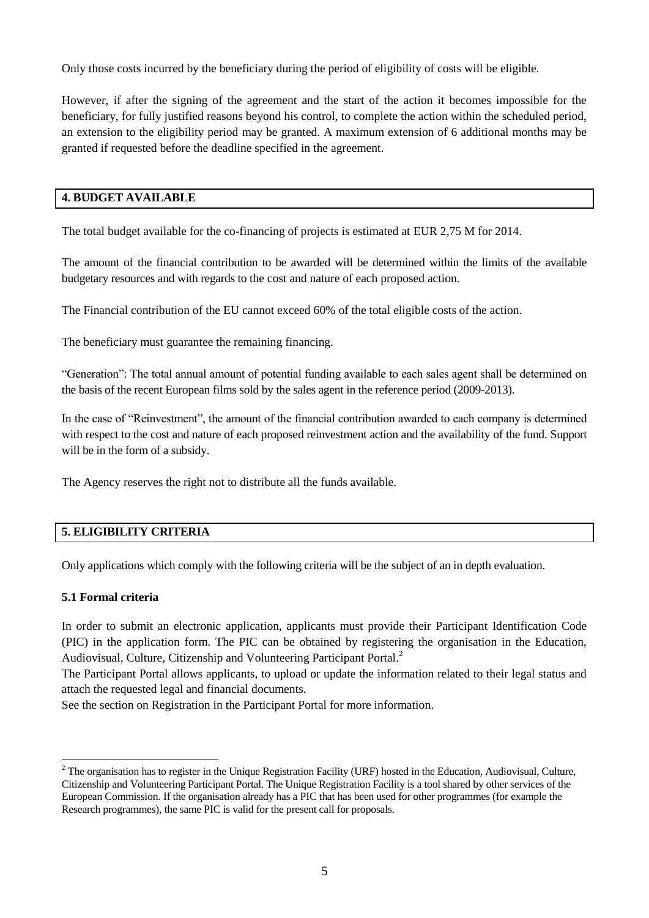Only those costs incurred by the beneficiary during the period of eligibility of costs will be eligible.

However, if after the signing of the agreement and the start of the action it becomes impossible for the beneficiary, for fully justified reasons beyond his control, to complete the action within the scheduled period, an extension to the eligibility period may be granted. A maximum extension of 6 additional months may be granted if requested before the deadline specified in the agreement.

#### **4. BUDGET AVAILABLE**

The total budget available for the co-financing of projects is estimated at EUR 2,75 M for 2014.

The amount of the financial contribution to be awarded will be determined within the limits of the available budgetary resources and with regards to the cost and nature of each proposed action.

The Financial contribution of the EU cannot exceed 60% of the total eligible costs of the action.

The beneficiary must guarantee the remaining financing.

"Generation": The total annual amount of potential funding available to each sales agent shall be determined on the basis of the recent European films sold by the sales agent in the reference period (2009-2013).

In the case of "Reinvestment", the amount of the financial contribution awarded to each company is determined with respect to the cost and nature of each proposed reinvestment action and the availability of the fund. Support will be in the form of a subsidy.

The Agency reserves the right not to distribute all the funds available.

#### **5. ELIGIBILITY CRITERIA**

Only applications which comply with the following criteria will be the subject of an in depth evaluation.

#### **5.1 Formal criteria**

In order to submit an electronic application, applicants must provide their Participant Identification Code (PIC) in the application form. The PIC can be obtained by registering the organisation in the Education, Audiovisual, Culture, Citizenship and Volunteering Participant Portal.<sup>2</sup>

The Participant Portal allows applicants, to upload or update the information related to their legal status and attach the requested legal and financial documents.

See the section on Registration in the Participant Portal for more information.

<sup>&</sup>lt;u>.</u>  $2$  The organisation has to register in the Unique Registration Facility (URF) hosted in the Education, Audiovisual, Culture, Citizenship and Volunteering Participant Portal. The Unique Registration Facility is a tool shared by other services of the European Commission. If the organisation already has a PIC that has been used for other programmes (for example the Research programmes), the same PIC is valid for the present call for proposals.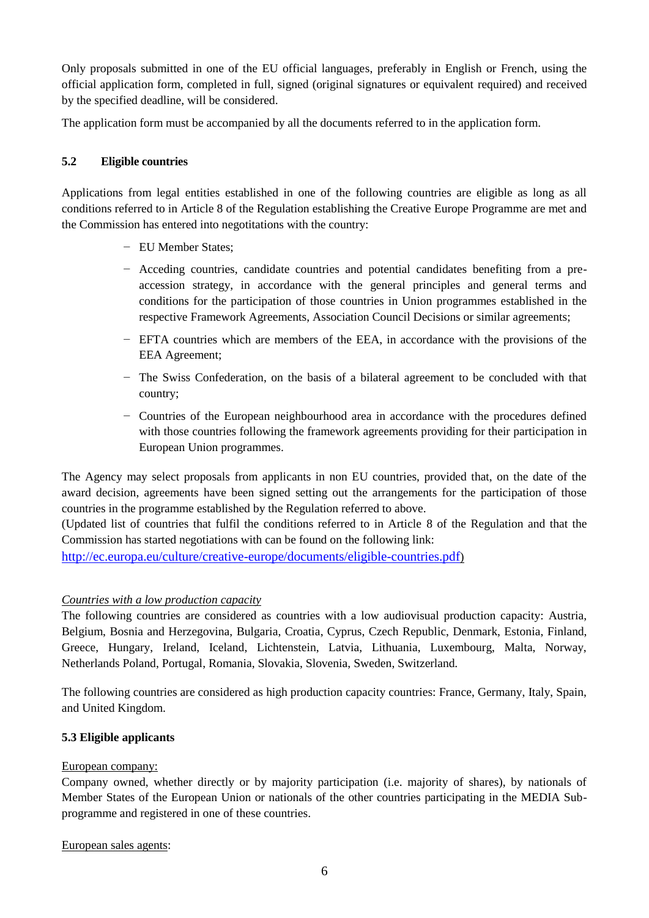Only proposals submitted in one of the EU official languages, preferably in English or French, using the official application form, completed in full, signed (original signatures or equivalent required) and received by the specified deadline, will be considered.

The application form must be accompanied by all the documents referred to in the application form.

#### **5.2 Eligible countries**

Applications from legal entities established in one of the following countries are eligible as long as all conditions referred to in Article 8 of the Regulation establishing the Creative Europe Programme are met and the Commission has entered into negotitations with the country:

- − EU Member States;
- − Acceding countries, candidate countries and potential candidates benefiting from a preaccession strategy, in accordance with the general principles and general terms and conditions for the participation of those countries in Union programmes established in the respective Framework Agreements, Association Council Decisions or similar agreements;
- − EFTA countries which are members of the EEA, in accordance with the provisions of the EEA Agreement;
- − The Swiss Confederation, on the basis of a bilateral agreement to be concluded with that country;
- − Countries of the European neighbourhood area in accordance with the procedures defined with those countries following the framework agreements providing for their participation in European Union programmes.

The Agency may select proposals from applicants in non EU countries, provided that, on the date of the award decision, agreements have been signed setting out the arrangements for the participation of those countries in the programme established by the Regulation referred to above.

(Updated list of countries that fulfil the conditions referred to in Article 8 of the Regulation and that the Commission has started negotiations with can be found on the following link:

<http://ec.europa.eu/culture/creative-europe/documents/eligible-countries.pdf>)

#### *Countries with a low production capacity*

The following countries are considered as countries with a low audiovisual production capacity: Austria, Belgium, Bosnia and Herzegovina, Bulgaria, Croatia, Cyprus, Czech Republic, Denmark, Estonia, Finland, Greece, Hungary, Ireland, Iceland, Lichtenstein, Latvia, Lithuania, Luxembourg, Malta, Norway, Netherlands Poland, Portugal, Romania, Slovakia, Slovenia, Sweden, Switzerland.

The following countries are considered as high production capacity countries: France, Germany, Italy, Spain, and United Kingdom.

#### **5.3 Eligible applicants**

#### European company:

Company owned, whether directly or by majority participation (i.e. majority of shares), by nationals of Member States of the European Union or nationals of the other countries participating in the MEDIA Subprogramme and registered in one of these countries.

European sales agents: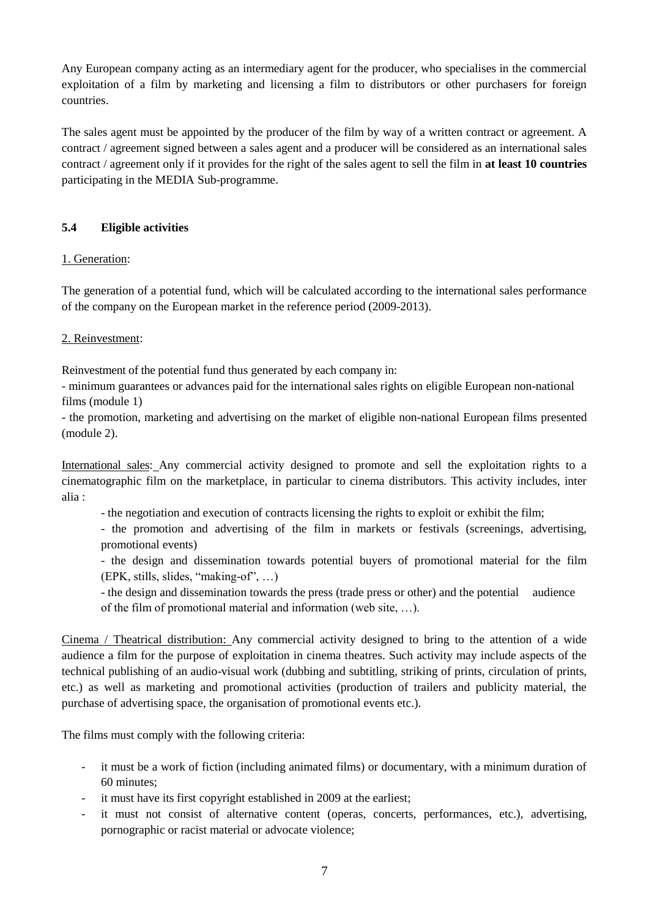Any European company acting as an intermediary agent for the producer, who specialises in the commercial exploitation of a film by marketing and licensing a film to distributors or other purchasers for foreign countries.

The sales agent must be appointed by the producer of the film by way of a written contract or agreement. A contract / agreement signed between a sales agent and a producer will be considered as an international sales contract / agreement only if it provides for the right of the sales agent to sell the film in **at least 10 countries** participating in the MEDIA Sub-programme.

#### **5.4 Eligible activities**

#### 1. Generation:

The generation of a potential fund, which will be calculated according to the international sales performance of the company on the European market in the reference period (2009-2013).

#### 2. Reinvestment:

Reinvestment of the potential fund thus generated by each company in:

- minimum guarantees or advances paid for the international sales rights on eligible European non-national films (module 1)

- the promotion, marketing and advertising on the market of eligible non-national European films presented (module 2).

International sales: Any commercial activity designed to promote and sell the exploitation rights to a cinematographic film on the marketplace, in particular to cinema distributors. This activity includes, inter alia :

- the negotiation and execution of contracts licensing the rights to exploit or exhibit the film;

- the promotion and advertising of the film in markets or festivals (screenings, advertising, promotional events)

- the design and dissemination towards potential buyers of promotional material for the film (EPK, stills, slides, "making-of", …)

- the design and dissemination towards the press (trade press or other) and the potential audience of the film of promotional material and information (web site, …).

Cinema / Theatrical distribution: Any commercial activity designed to bring to the attention of a wide audience a film for the purpose of exploitation in cinema theatres. Such activity may include aspects of the technical publishing of an audio-visual work (dubbing and subtitling, striking of prints, circulation of prints, etc.) as well as marketing and promotional activities (production of trailers and publicity material, the purchase of advertising space, the organisation of promotional events etc.).

The films must comply with the following criteria:

- it must be a work of fiction (including animated films) or documentary, with a minimum duration of 60 minutes;
- it must have its first copyright established in 2009 at the earliest;
- it must not consist of alternative content (operas, concerts, performances, etc.), advertising, pornographic or racist material or advocate violence;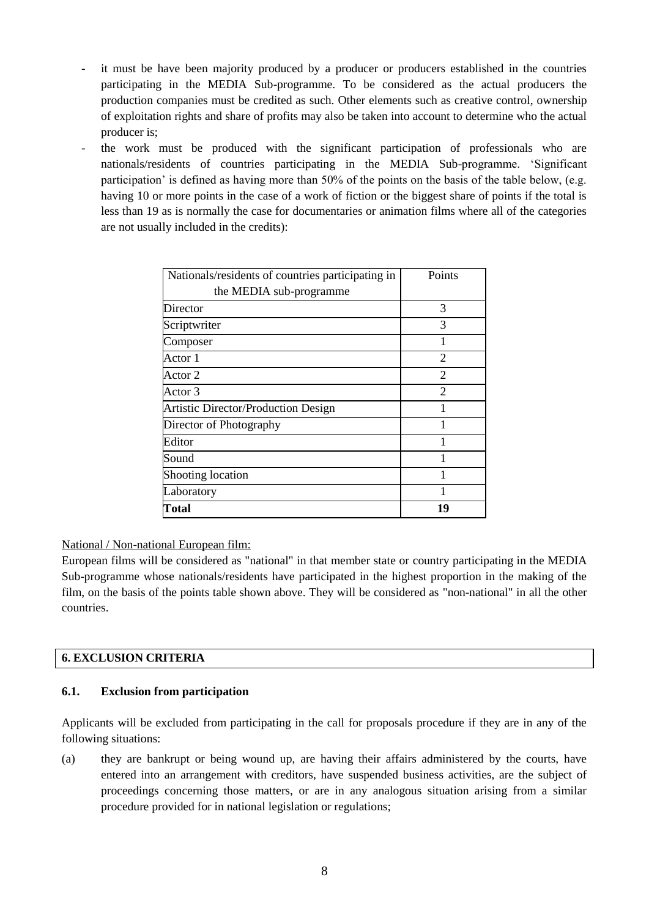- it must be have been majority produced by a producer or producers established in the countries participating in the MEDIA Sub-programme. To be considered as the actual producers the production companies must be credited as such. Other elements such as creative control, ownership of exploitation rights and share of profits may also be taken into account to determine who the actual producer is;
- the work must be produced with the significant participation of professionals who are nationals/residents of countries participating in the MEDIA Sub-programme. 'Significant participation' is defined as having more than 50% of the points on the basis of the table below, (e.g. having 10 or more points in the case of a work of fiction or the biggest share of points if the total is less than 19 as is normally the case for documentaries or animation films where all of the categories are not usually included in the credits):

| Nationals/residents of countries participating in | Points         |
|---------------------------------------------------|----------------|
| the MEDIA sub-programme                           |                |
| Director                                          | 3              |
| Scriptwriter                                      | 3              |
| Composer                                          |                |
| Actor 1                                           | $\mathfrak{D}$ |
| Actor 2                                           | $\overline{2}$ |
| Actor 3                                           | $\mathfrak{D}$ |
| Artistic Director/Production Design               |                |
| Director of Photography                           |                |
| Editor                                            |                |
| Sound                                             |                |
| Shooting location                                 |                |
| Laboratory                                        |                |
| Total                                             | 19             |

National / Non-national European film:

European films will be considered as "national" in that member state or country participating in the MEDIA Sub-programme whose nationals/residents have participated in the highest proportion in the making of the film, on the basis of the points table shown above. They will be considered as "non-national" in all the other countries.

#### **6. EXCLUSION CRITERIA**

#### **6.1. Exclusion from participation**

Applicants will be excluded from participating in the call for proposals procedure if they are in any of the following situations:

(a) they are bankrupt or being wound up, are having their affairs administered by the courts, have entered into an arrangement with creditors, have suspended business activities, are the subject of proceedings concerning those matters, or are in any analogous situation arising from a similar procedure provided for in national legislation or regulations;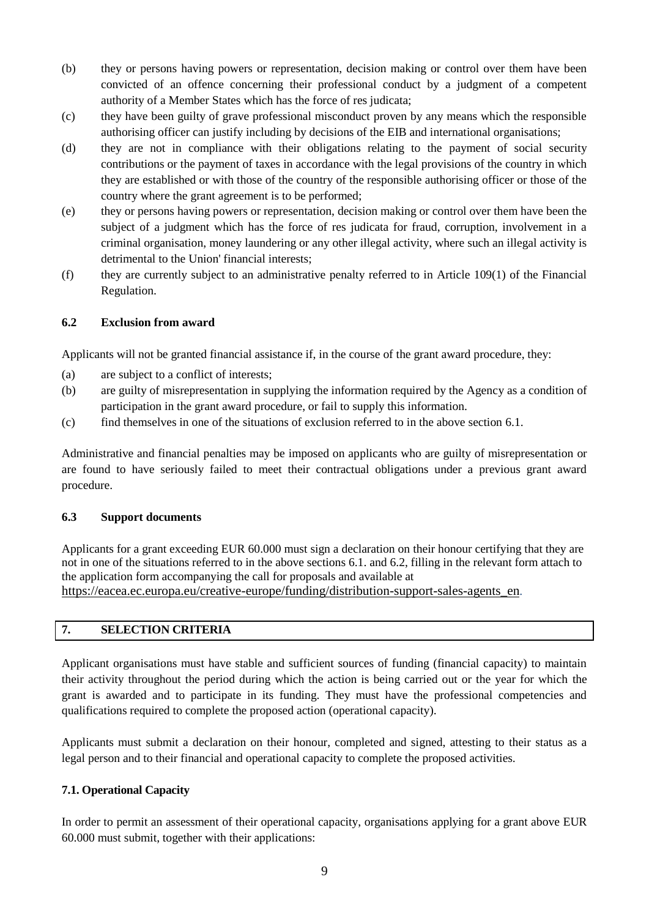- (b) they or persons having powers or representation, decision making or control over them have been convicted of an offence concerning their professional conduct by a judgment of a competent authority of a Member States which has the force of res judicata;
- (c) they have been guilty of grave professional misconduct proven by any means which the responsible authorising officer can justify including by decisions of the EIB and international organisations;
- (d) they are not in compliance with their obligations relating to the payment of social security contributions or the payment of taxes in accordance with the legal provisions of the country in which they are established or with those of the country of the responsible authorising officer or those of the country where the grant agreement is to be performed;
- (e) they or persons having powers or representation, decision making or control over them have been the subject of a judgment which has the force of res judicata for fraud, corruption, involvement in a criminal organisation, money laundering or any other illegal activity, where such an illegal activity is detrimental to the Union' financial interests;
- (f) they are currently subject to an administrative penalty referred to in Article 109(1) of the Financial Regulation.

#### **6.2 Exclusion from award**

Applicants will not be granted financial assistance if, in the course of the grant award procedure, they:

- (a) are subject to a conflict of interests;
- (b) are guilty of misrepresentation in supplying the information required by the Agency as a condition of participation in the grant award procedure, or fail to supply this information.
- (c) find themselves in one of the situations of exclusion referred to in the above section 6.1.

Administrative and financial penalties may be imposed on applicants who are guilty of misrepresentation or are found to have seriously failed to meet their contractual obligations under a previous grant award procedure.

#### **6.3 Support documents**

Applicants for a grant exceeding EUR 60.000 must sign a declaration on their honour certifying that they are not in one of the situations referred to in the above sections 6.1. and 6.2, filling in the relevant form attach to the application form accompanying the call for proposals and available at [https://eacea.ec.europa.eu/creative-europe/funding/distribution-support-sales-agents\\_en](https://eacea.ec.europa.eu/creative-europe/funding/distribution-support-sales-agents_en)[.](https://eacea.ec.europa.eu/creative-europe/funding/distribution-support-sales-agents_en)

#### **7. SELECTION CRITERIA**

Applicant organisations must have stable and sufficient sources of funding (financial capacity) to maintain their activity throughout the period during which the action is being carried out or the year for which the grant is awarded and to participate in its funding. They must have the professional competencies and qualifications required to complete the proposed action (operational capacity).

Applicants must submit a declaration on their honour, completed and signed, attesting to their status as a legal person and to their financial and operational capacity to complete the proposed activities.

#### **7.1. Operational Capacity**

In order to permit an assessment of their operational capacity, organisations applying for a grant above EUR 60.000 must submit, together with their applications: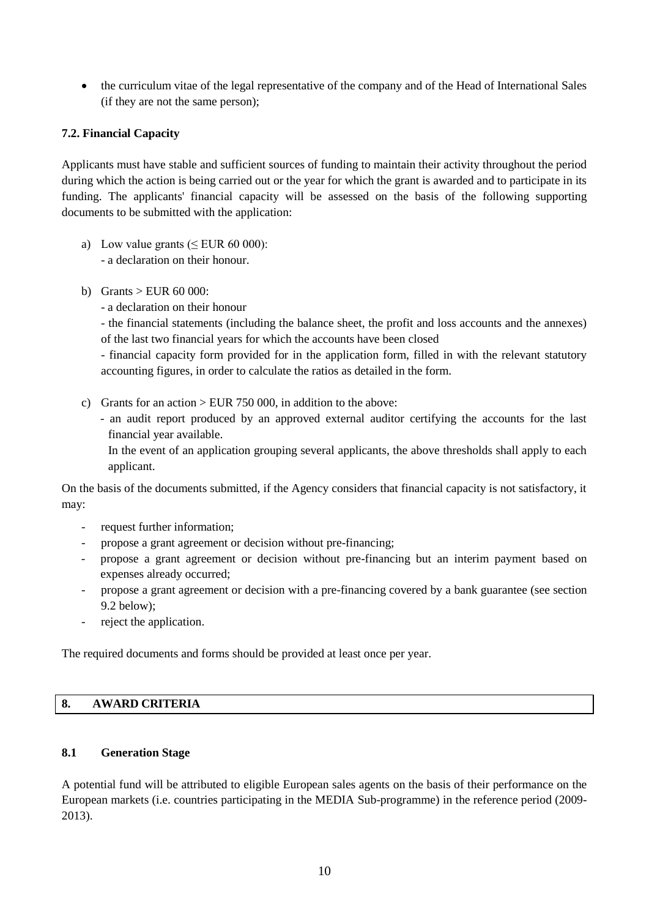the curriculum vitae of the legal representative of the company and of the Head of International Sales (if they are not the same person);

#### **7.2. Financial Capacity**

Applicants must have stable and sufficient sources of funding to maintain their activity throughout the period during which the action is being carried out or the year for which the grant is awarded and to participate in its funding. The applicants' financial capacity will be assessed on the basis of the following supporting documents to be submitted with the application:

- a) Low value grants ( $\leq$  EUR 60 000): - a declaration on their honour.
- b) Grants > EUR 60 000:
	- a declaration on their honour

- the financial statements (including the balance sheet, the profit and loss accounts and the annexes) of the last two financial years for which the accounts have been closed

- financial capacity form provided for in the application form, filled in with the relevant statutory accounting figures, in order to calculate the ratios as detailed in the form.

- c) Grants for an action  $>$  EUR 750 000, in addition to the above:
	- an audit report produced by an approved external auditor certifying the accounts for the last financial year available.

In the event of an application grouping several applicants, the above thresholds shall apply to each applicant.

On the basis of the documents submitted, if the Agency considers that financial capacity is not satisfactory, it may:

- request further information;
- propose a grant agreement or decision without pre-financing;
- propose a grant agreement or decision without pre-financing but an interim payment based on expenses already occurred;
- propose a grant agreement or decision with a pre-financing covered by a bank guarantee (see section 9.2 below);
- reject the application.

The required documents and forms should be provided at least once per year.

#### **8. AWARD CRITERIA**

#### **8.1 Generation Stage**

A potential fund will be attributed to eligible European sales agents on the basis of their performance on the European markets (i.e. countries participating in the MEDIA Sub-programme) in the reference period (2009- 2013).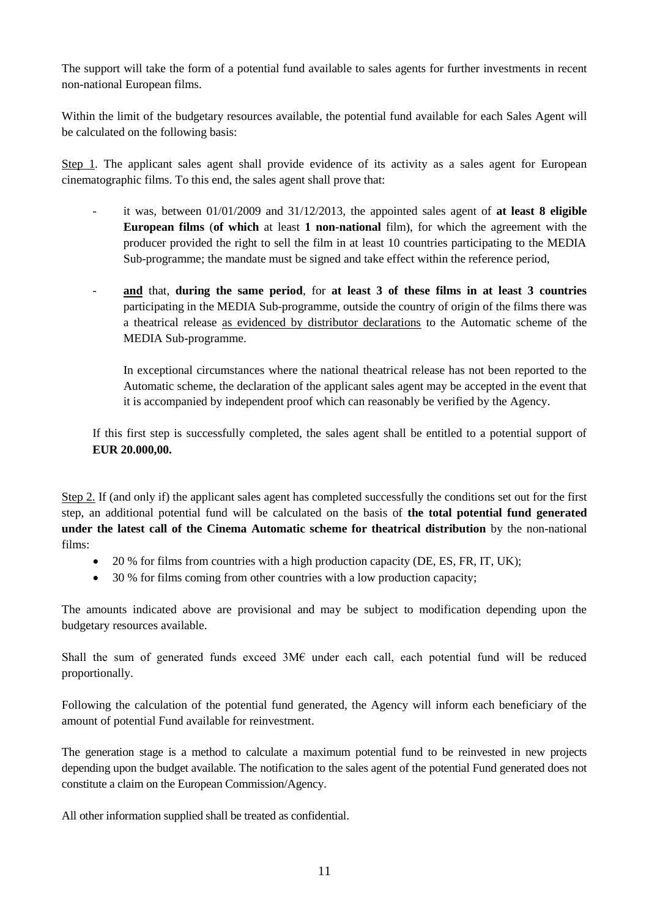The support will take the form of a potential fund available to sales agents for further investments in recent non-national European films.

Within the limit of the budgetary resources available, the potential fund available for each Sales Agent will be calculated on the following basis:

Step 1. The applicant sales agent shall provide evidence of its activity as a sales agent for European cinematographic films. To this end, the sales agent shall prove that:

- it was, between  $01/01/2009$  and  $31/12/2013$ , the appointed sales agent of **at least 8 eligible European films** (**of which** at least **1 non-national** film), for which the agreement with the producer provided the right to sell the film in at least 10 countries participating to the MEDIA Sub-programme; the mandate must be signed and take effect within the reference period,
- **and** that, **during the same period**, for **at least 3 of these films in at least 3 countries**  participating in the MEDIA Sub-programme, outside the country of origin of the films there was a theatrical release as evidenced by distributor declarations to the Automatic scheme of the MEDIA Sub-programme.

In exceptional circumstances where the national theatrical release has not been reported to the Automatic scheme, the declaration of the applicant sales agent may be accepted in the event that it is accompanied by independent proof which can reasonably be verified by the Agency.

If this first step is successfully completed, the sales agent shall be entitled to a potential support of **EUR 20.000,00.**

Step 2. If (and only if) the applicant sales agent has completed successfully the conditions set out for the first step, an additional potential fund will be calculated on the basis of **the total potential fund generated under the latest call of the Cinema Automatic scheme for theatrical distribution** by the non-national films:

- 20 % for films from countries with a high production capacity (DE, ES, FR, IT, UK);
- 30 % for films coming from other countries with a low production capacity;

The amounts indicated above are provisional and may be subject to modification depending upon the budgetary resources available.

Shall the sum of generated funds exceed 3M€ under each call, each potential fund will be reduced proportionally.

Following the calculation of the potential fund generated, the Agency will inform each beneficiary of the amount of potential Fund available for reinvestment.

The generation stage is a method to calculate a maximum potential fund to be reinvested in new projects depending upon the budget available. The notification to the sales agent of the potential Fund generated does not constitute a claim on the European Commission/Agency.

All other information supplied shall be treated as confidential.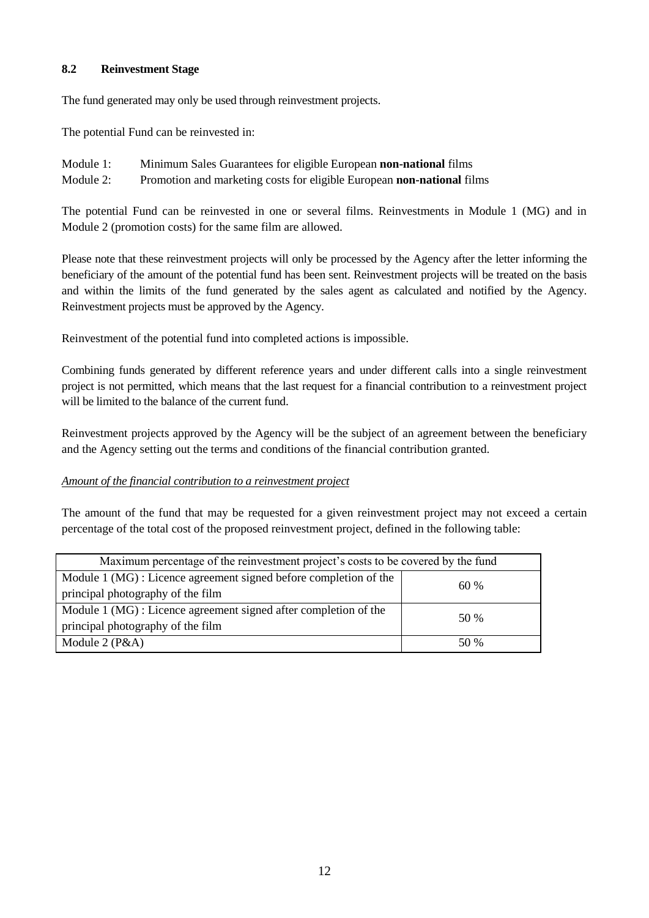#### **8.2 Reinvestment Stage**

The fund generated may only be used through reinvestment projects.

The potential Fund can be reinvested in:

| Module 1: | Minimum Sales Guarantees for eligible European non-national films      |
|-----------|------------------------------------------------------------------------|
| Module 2: | Promotion and marketing costs for eligible European non-national films |

The potential Fund can be reinvested in one or several films. Reinvestments in Module 1 (MG) and in Module 2 (promotion costs) for the same film are allowed.

Please note that these reinvestment projects will only be processed by the Agency after the letter informing the beneficiary of the amount of the potential fund has been sent. Reinvestment projects will be treated on the basis and within the limits of the fund generated by the sales agent as calculated and notified by the Agency. Reinvestment projects must be approved by the Agency.

Reinvestment of the potential fund into completed actions is impossible.

Combining funds generated by different reference years and under different calls into a single reinvestment project is not permitted, which means that the last request for a financial contribution to a reinvestment project will be limited to the balance of the current fund.

Reinvestment projects approved by the Agency will be the subject of an agreement between the beneficiary and the Agency setting out the terms and conditions of the financial contribution granted.

#### *Amount of the financial contribution to a reinvestment project*

The amount of the fund that may be requested for a given reinvestment project may not exceed a certain percentage of the total cost of the proposed reinvestment project, defined in the following table:

| Maximum percentage of the reinvestment project's costs to be covered by the fund |      |  |  |
|----------------------------------------------------------------------------------|------|--|--|
| Module 1 (MG) : Licence agreement signed before completion of the                | 60%  |  |  |
| principal photography of the film                                                |      |  |  |
| Module 1 (MG) : Licence agreement signed after completion of the                 | 50 % |  |  |
| principal photography of the film                                                |      |  |  |
| Module $2(P&A)$                                                                  | 50 % |  |  |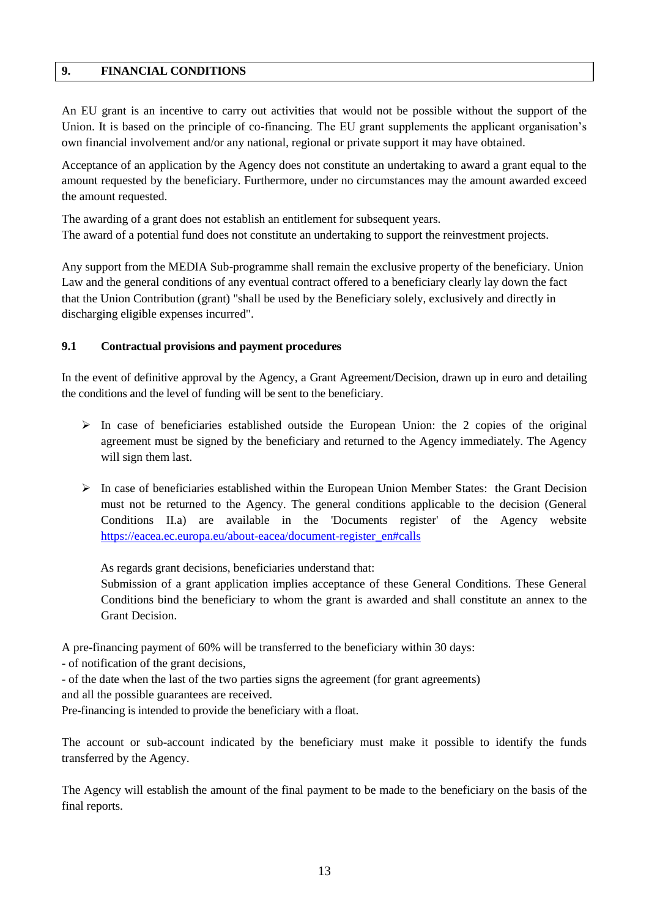#### **9. FINANCIAL CONDITIONS**

An EU grant is an incentive to carry out activities that would not be possible without the support of the Union. It is based on the principle of co-financing. The EU grant supplements the applicant organisation's own financial involvement and/or any national, regional or private support it may have obtained.

Acceptance of an application by the Agency does not constitute an undertaking to award a grant equal to the amount requested by the beneficiary. Furthermore, under no circumstances may the amount awarded exceed the amount requested.

The awarding of a grant does not establish an entitlement for subsequent years. The award of a potential fund does not constitute an undertaking to support the reinvestment projects.

Any support from the MEDIA Sub-programme shall remain the exclusive property of the beneficiary. Union Law and the general conditions of any eventual contract offered to a beneficiary clearly lay down the fact that the Union Contribution (grant) "shall be used by the Beneficiary solely, exclusively and directly in discharging eligible expenses incurred".

#### **9.1 Contractual provisions and payment procedures**

In the event of definitive approval by the Agency, a Grant Agreement/Decision, drawn up in euro and detailing the conditions and the level of funding will be sent to the beneficiary.

- $\triangleright$  In case of beneficiaries established outside the European Union: the 2 copies of the original agreement must be signed by the beneficiary and returned to the Agency immediately. The Agency will sign them last.
- $\triangleright$  In case of beneficiaries established within the European Union Member States: the Grant Decision must not be returned to the Agency. The general conditions applicable to the decision (General Conditions II.a) are available in the 'Documents register' of the Agency website [https://eacea.ec.europa.eu/about-eacea/document-register\\_en#calls](https://eacea.ec.europa.eu/about-eacea/document-register_en#calls)

As regards grant decisions, beneficiaries understand that:

Submission of a grant application implies acceptance of these General Conditions. These General Conditions bind the beneficiary to whom the grant is awarded and shall constitute an annex to the Grant Decision.

A pre-financing payment of 60% will be transferred to the beneficiary within 30 days:

- of notification of the grant decisions,

- of the date when the last of the two parties signs the agreement (for grant agreements) and all the possible guarantees are received.

Pre-financing is intended to provide the beneficiary with a float.

The account or sub-account indicated by the beneficiary must make it possible to identify the funds transferred by the Agency.

The Agency will establish the amount of the final payment to be made to the beneficiary on the basis of the final reports.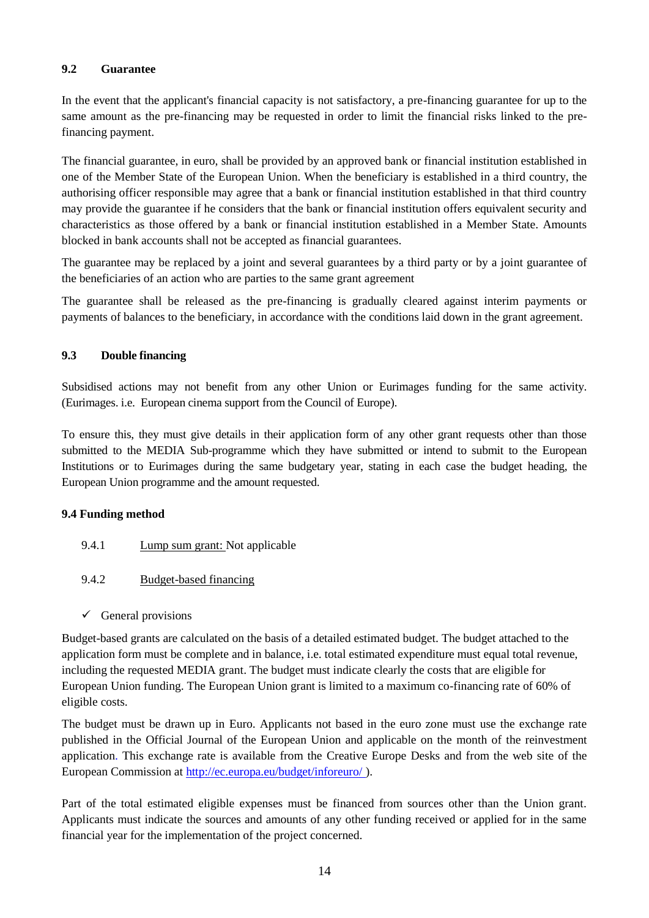#### **9.2 Guarantee**

In the event that the applicant's financial capacity is not satisfactory, a pre-financing guarantee for up to the same amount as the pre-financing may be requested in order to limit the financial risks linked to the prefinancing payment.

The financial guarantee, in euro, shall be provided by an approved bank or financial institution established in one of the Member State of the European Union. When the beneficiary is established in a third country, the authorising officer responsible may agree that a bank or financial institution established in that third country may provide the guarantee if he considers that the bank or financial institution offers equivalent security and characteristics as those offered by a bank or financial institution established in a Member State. Amounts blocked in bank accounts shall not be accepted as financial guarantees.

The guarantee may be replaced by a joint and several guarantees by a third party or by a joint guarantee of the beneficiaries of an action who are parties to the same grant agreement

The guarantee shall be released as the pre-financing is gradually cleared against interim payments or payments of balances to the beneficiary, in accordance with the conditions laid down in the grant agreement.

#### **9.3 Double financing**

Subsidised actions may not benefit from any other Union or Eurimages funding for the same activity. (Eurimages. i.e. European cinema support from the Council of Europe).

To ensure this, they must give details in their application form of any other grant requests other than those submitted to the MEDIA Sub-programme which they have submitted or intend to submit to the European Institutions or to Eurimages during the same budgetary year, stating in each case the budget heading, the European Union programme and the amount requested.

#### **9.4 Funding method**

- 9.4.1 **Lump sum grant:** Not applicable
- 9.4.2 Budget-based financing
- $\checkmark$  General provisions

Budget-based grants are calculated on the basis of a detailed estimated budget. The budget attached to the application form must be complete and in balance, i.e. total estimated expenditure must equal total revenue, including the requested MEDIA grant. The budget must indicate clearly the costs that are eligible for European Union funding. The European Union grant is limited to a maximum co-financing rate of 60% of eligible costs.

The budget must be drawn up in Euro. Applicants not based in the euro zone must use the exchange rate published in the Official Journal of the European Union and applicable on the month of the reinvestment application. This exchange rate is available from the Creative Europe Desks and from the web site of the European Commission at<http://ec.europa.eu/budget/inforeuro/> ).

Part of the total estimated eligible expenses must be financed from sources other than the Union grant. Applicants must indicate the sources and amounts of any other funding received or applied for in the same financial year for the implementation of the project concerned.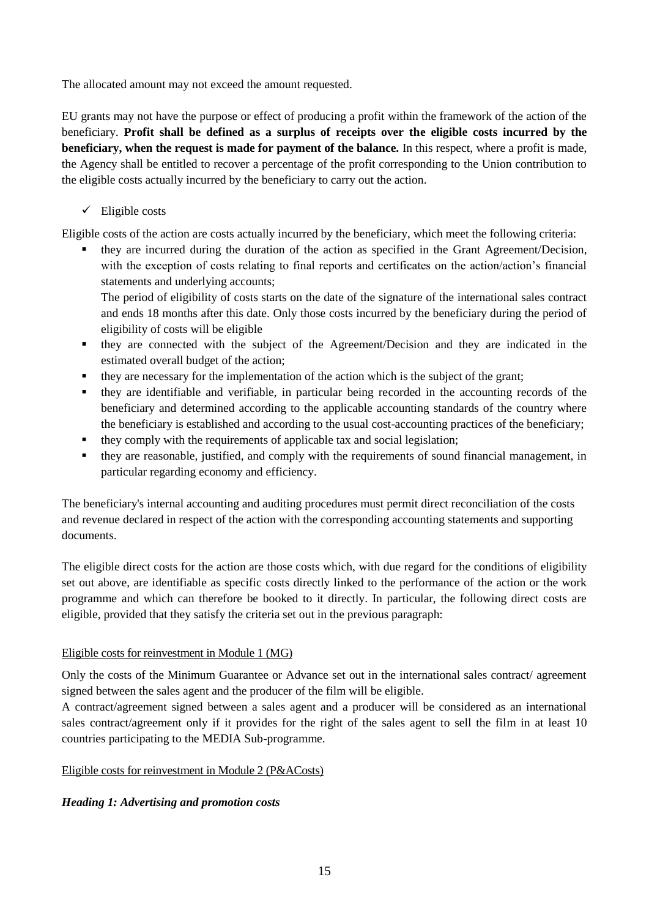The allocated amount may not exceed the amount requested.

EU grants may not have the purpose or effect of producing a profit within the framework of the action of the beneficiary. **Profit shall be defined as a surplus of receipts over the eligible costs incurred by the beneficiary, when the request is made for payment of the balance.** In this respect, where a profit is made, the Agency shall be entitled to recover a percentage of the profit corresponding to the Union contribution to the eligible costs actually incurred by the beneficiary to carry out the action.

#### $\checkmark$  Eligible costs

Eligible costs of the action are costs actually incurred by the beneficiary, which meet the following criteria:

 they are incurred during the duration of the action as specified in the Grant Agreement/Decision, with the exception of costs relating to final reports and certificates on the action/action's financial statements and underlying accounts;

The period of eligibility of costs starts on the date of the signature of the international sales contract and ends 18 months after this date. Only those costs incurred by the beneficiary during the period of eligibility of costs will be eligible

- they are connected with the subject of the Agreement/Decision and they are indicated in the estimated overall budget of the action;
- they are necessary for the implementation of the action which is the subject of the grant;
- they are identifiable and verifiable, in particular being recorded in the accounting records of the beneficiary and determined according to the applicable accounting standards of the country where the beneficiary is established and according to the usual cost-accounting practices of the beneficiary;
- they comply with the requirements of applicable tax and social legislation;
- they are reasonable, justified, and comply with the requirements of sound financial management, in particular regarding economy and efficiency.

The beneficiary's internal accounting and auditing procedures must permit direct reconciliation of the costs and revenue declared in respect of the action with the corresponding accounting statements and supporting documents.

The eligible direct costs for the action are those costs which, with due regard for the conditions of eligibility set out above, are identifiable as specific costs directly linked to the performance of the action or the work programme and which can therefore be booked to it directly. In particular, the following direct costs are eligible, provided that they satisfy the criteria set out in the previous paragraph:

#### Eligible costs for reinvestment in Module 1 (MG)

Only the costs of the Minimum Guarantee or Advance set out in the international sales contract/ agreement signed between the sales agent and the producer of the film will be eligible.

A contract/agreement signed between a sales agent and a producer will be considered as an international sales contract/agreement only if it provides for the right of the sales agent to sell the film in at least 10 countries participating to the MEDIA Sub-programme.

#### Eligible costs for reinvestment in Module 2 (P&ACosts)

#### *Heading 1: Advertising and promotion costs*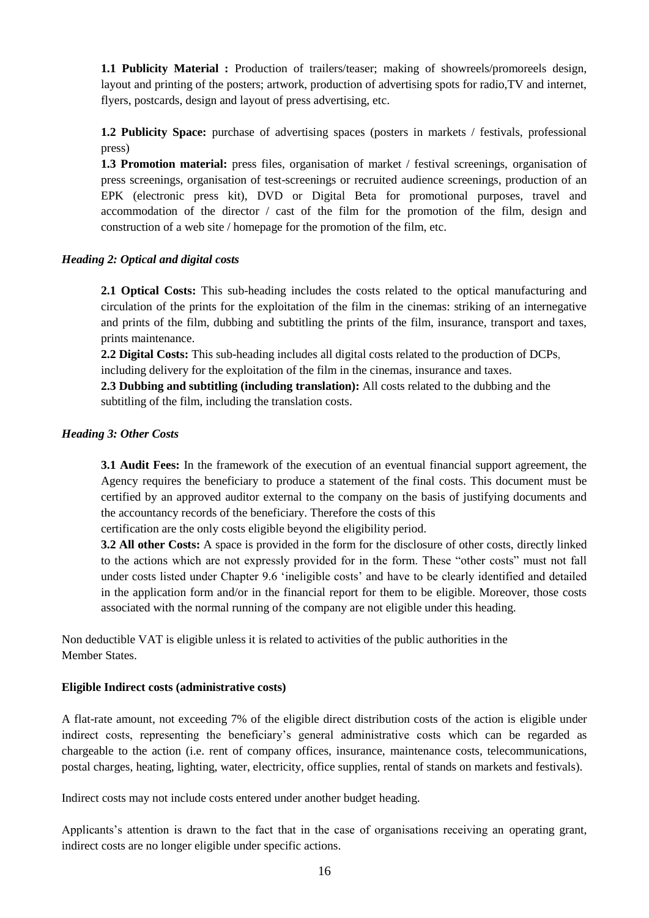**1.1 Publicity Material :** Production of trailers/teaser; making of showreels/promoreels design, layout and printing of the posters; artwork, production of advertising spots for radio,TV and internet, flyers, postcards, design and layout of press advertising, etc.

**1.2 Publicity Space:** purchase of advertising spaces (posters in markets / festivals, professional press)

**1.3 Promotion material:** press files, organisation of market / festival screenings, organisation of press screenings, organisation of test-screenings or recruited audience screenings, production of an EPK (electronic press kit), DVD or Digital Beta for promotional purposes, travel and accommodation of the director / cast of the film for the promotion of the film, design and construction of a web site / homepage for the promotion of the film, etc.

#### *Heading 2: Optical and digital costs*

**2.1 Optical Costs:** This sub-heading includes the costs related to the optical manufacturing and circulation of the prints for the exploitation of the film in the cinemas: striking of an internegative and prints of the film, dubbing and subtitling the prints of the film, insurance, transport and taxes, prints maintenance.

**2.2 Digital Costs:** This sub-heading includes all digital costs related to the production of DCPs, including delivery for the exploitation of the film in the cinemas, insurance and taxes.

**2.3 Dubbing and subtitling (including translation):** All costs related to the dubbing and the subtitling of the film, including the translation costs.

#### *Heading 3: Other Costs*

**3.1 Audit Fees:** In the framework of the execution of an eventual financial support agreement, the Agency requires the beneficiary to produce a statement of the final costs. This document must be certified by an approved auditor external to the company on the basis of justifying documents and the accountancy records of the beneficiary. Therefore the costs of this

certification are the only costs eligible beyond the eligibility period.

**3.2 All other Costs:** A space is provided in the form for the disclosure of other costs, directly linked to the actions which are not expressly provided for in the form. These "other costs" must not fall under costs listed under Chapter 9.6 'ineligible costs' and have to be clearly identified and detailed in the application form and/or in the financial report for them to be eligible. Moreover, those costs associated with the normal running of the company are not eligible under this heading.

Non deductible VAT is eligible unless it is related to activities of the public authorities in the Member States.

#### **Eligible Indirect costs (administrative costs)**

A flat-rate amount, not exceeding 7% of the eligible direct distribution costs of the action is eligible under indirect costs, representing the beneficiary's general administrative costs which can be regarded as chargeable to the action (i.e. rent of company offices, insurance, maintenance costs, telecommunications, postal charges, heating, lighting, water, electricity, office supplies, rental of stands on markets and festivals).

Indirect costs may not include costs entered under another budget heading.

Applicants's attention is drawn to the fact that in the case of organisations receiving an operating grant, indirect costs are no longer eligible under specific actions.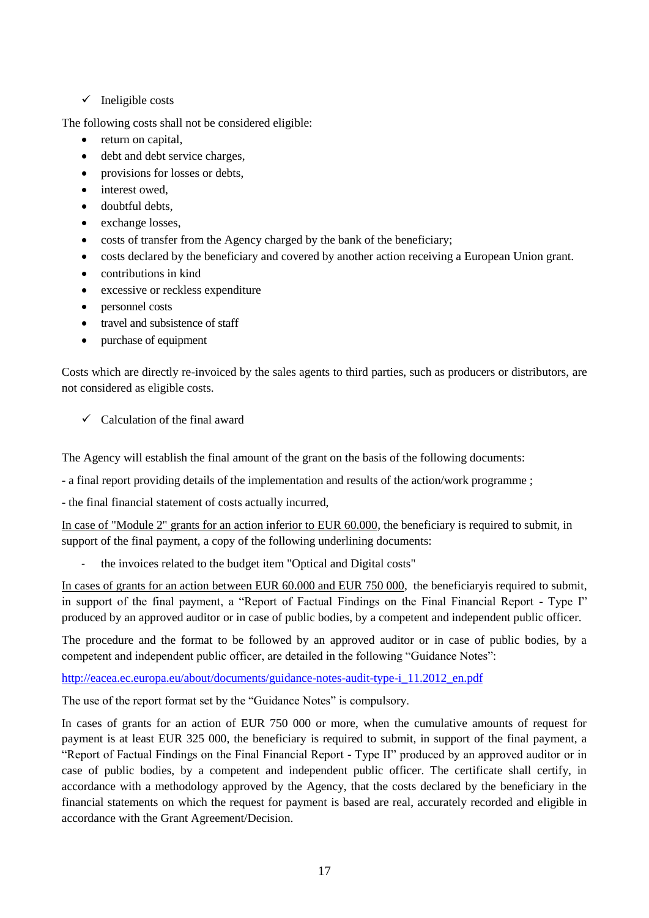#### $\checkmark$  Ineligible costs

The following costs shall not be considered eligible:

- return on capital,
- debt and debt service charges,
- provisions for losses or debts,
- interest owed.
- doubtful debts,
- exchange losses,
- costs of transfer from the Agency charged by the bank of the beneficiary;
- costs declared by the beneficiary and covered by another action receiving a European Union grant.
- contributions in kind
- excessive or reckless expenditure
- personnel costs
- travel and subsistence of staff
- purchase of equipment

Costs which are directly re-invoiced by the sales agents to third parties, such as producers or distributors, are not considered as eligible costs.

 $\checkmark$  Calculation of the final award

The Agency will establish the final amount of the grant on the basis of the following documents:

- a final report providing details of the implementation and results of the action/work programme ;

- the final financial statement of costs actually incurred,

In case of "Module 2" grants for an action inferior to EUR 60.000, the beneficiary is required to submit, in support of the final payment, a copy of the following underlining documents:

the invoices related to the budget item "Optical and Digital costs"

In cases of grants for an action between EUR 60.000 and EUR 750 000, the beneficiary is required to submit, in support of the final payment, a "Report of Factual Findings on the Final Financial Report - Type I" produced by an approved auditor or in case of public bodies, by a competent and independent public officer.

The procedure and the format to be followed by an approved auditor or in case of public bodies, by a competent and independent public officer, are detailed in the following "Guidance Notes":

[http://eacea.ec.europa.eu/about/documents/guidance-notes-audit-type-i\\_11.2012\\_en.pdf](http://eacea.ec.europa.eu/about/documents/guidance-notes-audit-type-i_11.2012_en.pdf)

The use of the report format set by the "Guidance Notes" is compulsory.

In cases of grants for an action of EUR 750 000 or more, when the cumulative amounts of request for payment is at least EUR 325 000, the beneficiary is required to submit, in support of the final payment, a "Report of Factual Findings on the Final Financial Report - Type II" produced by an approved auditor or in case of public bodies, by a competent and independent public officer. The certificate shall certify, in accordance with a methodology approved by the Agency, that the costs declared by the beneficiary in the financial statements on which the request for payment is based are real, accurately recorded and eligible in accordance with the Grant Agreement/Decision.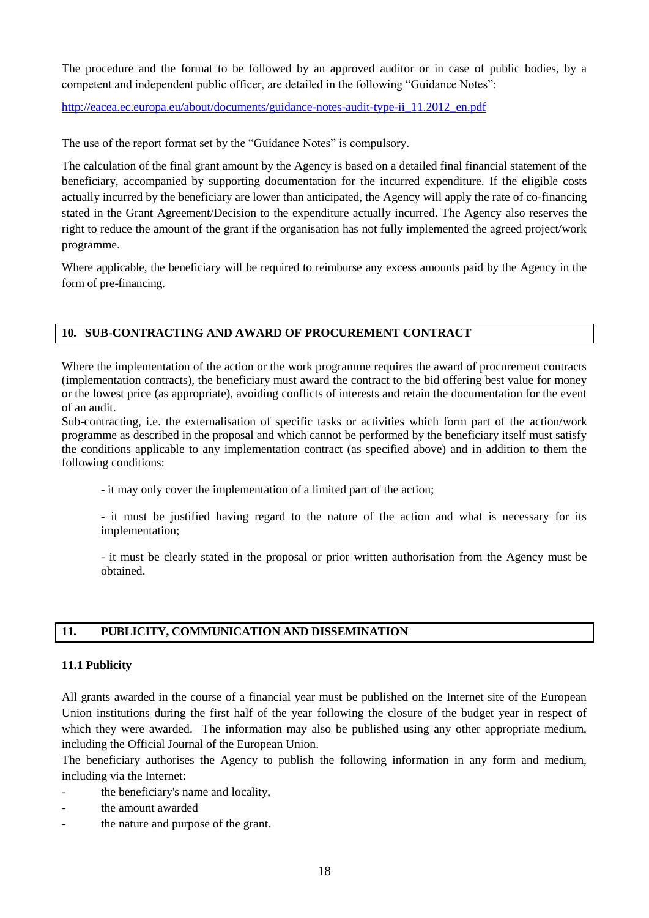The procedure and the format to be followed by an approved auditor or in case of public bodies, by a competent and independent public officer, are detailed in the following "Guidance Notes":

[http://eacea.ec.europa.eu/about/documents/guidance-notes-audit-type-ii\\_11.2012\\_en.pdf](http://eacea.ec.europa.eu/about/documents/guidance-notes-audit-type-ii_11.2012_en.pdf)

The use of the report format set by the "Guidance Notes" is compulsory.

The calculation of the final grant amount by the Agency is based on a detailed final financial statement of the beneficiary, accompanied by supporting documentation for the incurred expenditure. If the eligible costs actually incurred by the beneficiary are lower than anticipated, the Agency will apply the rate of co-financing stated in the Grant Agreement/Decision to the expenditure actually incurred. The Agency also reserves the right to reduce the amount of the grant if the organisation has not fully implemented the agreed project/work programme.

Where applicable, the beneficiary will be required to reimburse any excess amounts paid by the Agency in the form of pre-financing.

#### **10. SUB-CONTRACTING AND AWARD OF PROCUREMENT CONTRACT**

Where the implementation of the action or the work programme requires the award of procurement contracts (implementation contracts), the beneficiary must award the contract to the bid offering best value for money or the lowest price (as appropriate), avoiding conflicts of interests and retain the documentation for the event of an audit.

Sub-contracting, i.e. the externalisation of specific tasks or activities which form part of the action/work programme as described in the proposal and which cannot be performed by the beneficiary itself must satisfy the conditions applicable to any implementation contract (as specified above) and in addition to them the following conditions:

- it may only cover the implementation of a limited part of the action;

- it must be justified having regard to the nature of the action and what is necessary for its implementation;

- it must be clearly stated in the proposal or prior written authorisation from the Agency must be obtained.

#### **11. PUBLICITY, COMMUNICATION AND DISSEMINATION**

#### **11.1 Publicity**

All grants awarded in the course of a financial year must be published on the Internet site of the European Union institutions during the first half of the year following the closure of the budget year in respect of which they were awarded. The information may also be published using any other appropriate medium, including the Official Journal of the European Union.

The beneficiary authorises the Agency to publish the following information in any form and medium, including via the Internet:

- the beneficiary's name and locality,
- the amount awarded
- the nature and purpose of the grant.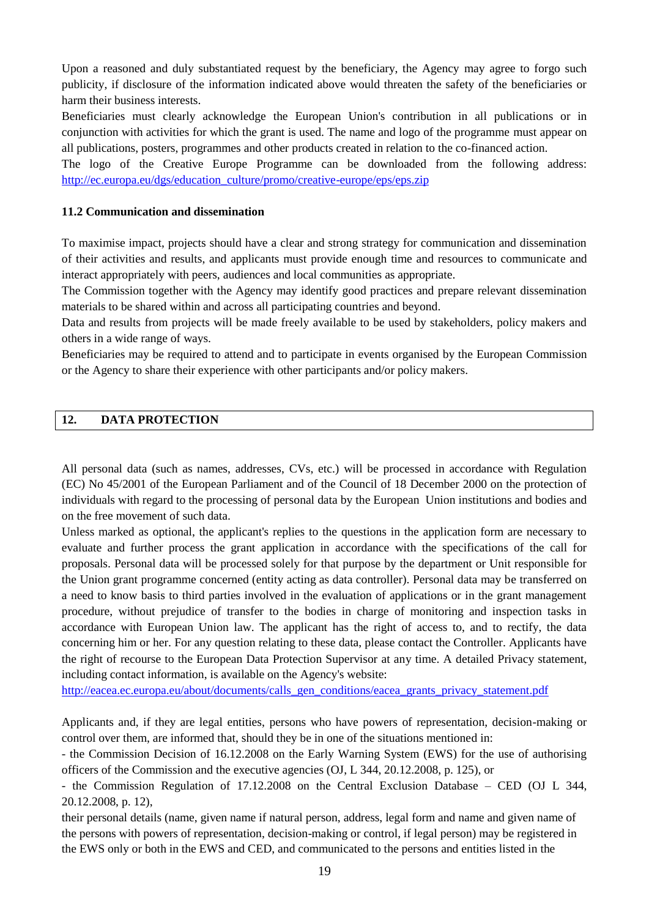Upon a reasoned and duly substantiated request by the beneficiary, the Agency may agree to forgo such publicity, if disclosure of the information indicated above would threaten the safety of the beneficiaries or harm their business interests.

Beneficiaries must clearly acknowledge the European Union's contribution in all publications or in conjunction with activities for which the grant is used. The name and logo of the programme must appear on all publications, posters, programmes and other products created in relation to the co-financed action.

The logo of the Creative Europe Programme can be downloaded from the following address: [http://ec.europa.eu/dgs/education\\_culture/promo/creative-europe/eps/eps.zip](http://ec.europa.eu/dgs/education_culture/promo/creative-europe/eps/eps.zip)

#### **11.2 Communication and dissemination**

To maximise impact, projects should have a clear and strong strategy for communication and dissemination of their activities and results, and applicants must provide enough time and resources to communicate and interact appropriately with peers, audiences and local communities as appropriate.

The Commission together with the Agency may identify good practices and prepare relevant dissemination materials to be shared within and across all participating countries and beyond.

Data and results from projects will be made freely available to be used by stakeholders, policy makers and others in a wide range of ways.

Beneficiaries may be required to attend and to participate in events organised by the European Commission or the Agency to share their experience with other participants and/or policy makers.

#### **12. DATA PROTECTION**

All personal data (such as names, addresses, CVs, etc.) will be processed in accordance with Regulation (EC) No 45/2001 of the European Parliament and of the Council of 18 December 2000 on the protection of individuals with regard to the processing of personal data by the European Union institutions and bodies and on the free movement of such data.

Unless marked as optional, the applicant's replies to the questions in the application form are necessary to evaluate and further process the grant application in accordance with the specifications of the call for proposals. Personal data will be processed solely for that purpose by the department or Unit responsible for the Union grant programme concerned (entity acting as data controller). Personal data may be transferred on a need to know basis to third parties involved in the evaluation of applications or in the grant management procedure, without prejudice of transfer to the bodies in charge of monitoring and inspection tasks in accordance with European Union law. The applicant has the right of access to, and to rectify, the data concerning him or her. For any question relating to these data, please contact the Controller. Applicants have the right of recourse to the European Data Protection Supervisor at any time. A detailed Privacy statement, including contact information, is available on the Agency's website:

[http://eacea.ec.europa.eu/about/documents/calls\\_gen\\_conditions/eacea\\_grants\\_privacy\\_statement.pdf](http://eacea.ec.europa.eu/about/documents/calls_gen_conditions/eacea_grants_privacy_statement.pdf)

Applicants and, if they are legal entities, persons who have powers of representation, decision-making or control over them, are informed that, should they be in one of the situations mentioned in:

- the Commission Decision of 16.12.2008 on the Early Warning System (EWS) for the use of authorising officers of the Commission and the executive agencies (OJ, L 344, 20.12.2008, p. 125), or

- the Commission Regulation of 17.12.2008 on the Central Exclusion Database – CED (OJ L 344, 20.12.2008, p. 12),

their personal details (name, given name if natural person, address, legal form and name and given name of the persons with powers of representation, decision-making or control, if legal person) may be registered in the EWS only or both in the EWS and CED, and communicated to the persons and entities listed in the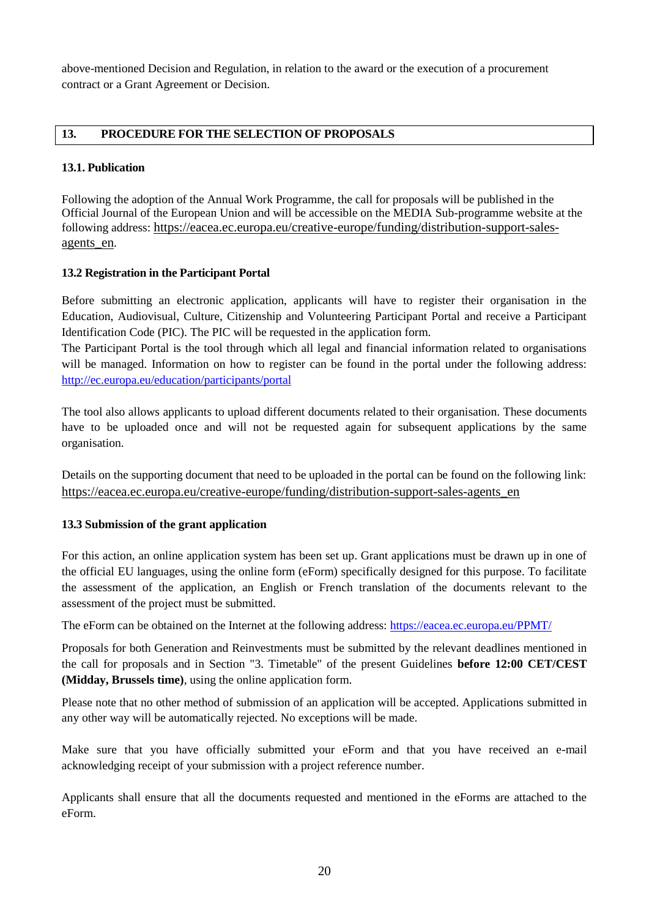above-mentioned Decision and Regulation, in relation to the award or the execution of a procurement contract or a Grant Agreement or Decision.

#### **13. PROCEDURE FOR THE SELECTION OF PROPOSALS**

#### **13.1. Publication**

Following the adoption of the Annual Work Programme, the call for proposals will be published in the Official Journal of the European Union and will be accessible on the MEDIA Sub-programme website at the following address: [https://eacea.ec.europa.eu/creative-europe/funding/distribution-support-sales](https://eacea.ec.europa.eu/creative-europe/funding/distribution-support-sales-agents_en)[agents\\_en](https://eacea.ec.europa.eu/creative-europe/funding/distribution-support-sales-agents_en).

#### **13.2 Registration in the Participant Portal**

Before submitting an electronic application, applicants will have to register their organisation in the Education, Audiovisual, Culture, Citizenship and Volunteering Participant Portal and receive a Participant Identification Code (PIC). The PIC will be requested in the application form.

The Participant Portal is the tool through which all legal and financial information related to organisations will be managed. Information on how to register can be found in the portal under the following address: <http://ec.europa.eu/education/participants/portal>

The tool also allows applicants to upload different documents related to their organisation. These documents have to be uploaded once and will not be requested again for subsequent applications by the same organisation.

Details on the supporting document that need to be uploaded in the portal can be found on the following link: [https://eacea.ec.europa.eu/creative-europe/funding/distribution-support-sales-agents\\_en](https://eacea.ec.europa.eu/creative-europe/funding/distribution-support-sales-agents_en)

#### **13.3 Submission of the grant application**

For this action, an online application system has been set up. Grant applications must be drawn up in one of the official EU languages, using the online form (eForm) specifically designed for this purpose. To facilitate the assessment of the application, an English or French translation of the documents relevant to the assessment of the project must be submitted.

The eForm can be obtained on the Internet at the following address: <https://eacea.ec.europa.eu/PPMT/>

Proposals for both Generation and Reinvestments must be submitted by the relevant deadlines mentioned in the call for proposals and in Section "3. Timetable" of the present Guidelines **before 12:00 CET/CEST (Midday, Brussels time)**, using the online application form.

Please note that no other method of submission of an application will be accepted. Applications submitted in any other way will be automatically rejected. No exceptions will be made.

Make sure that you have officially submitted your eForm and that you have received an e-mail acknowledging receipt of your submission with a project reference number.

Applicants shall ensure that all the documents requested and mentioned in the eForms are attached to the eForm.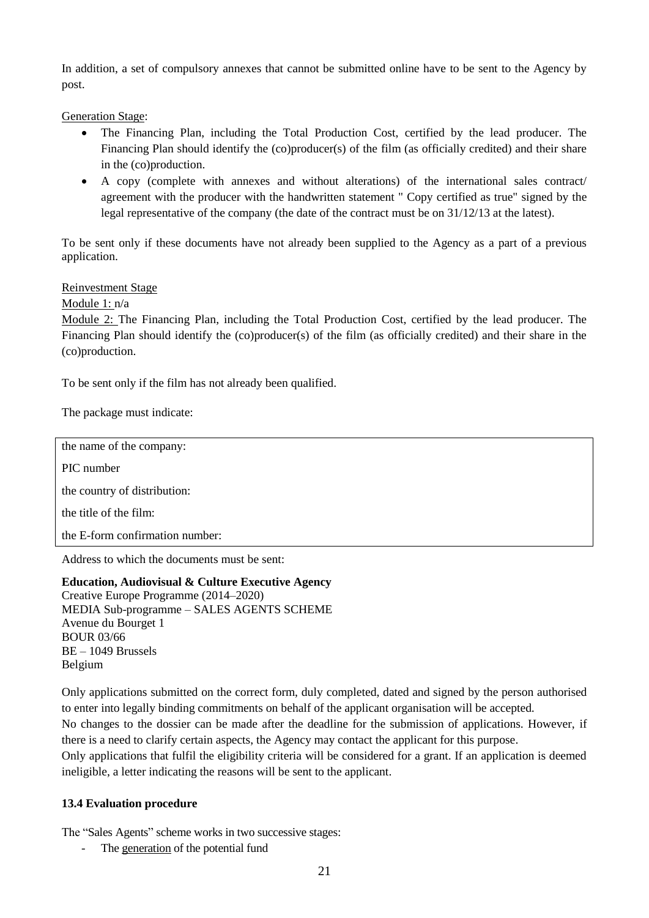In addition, a set of compulsory annexes that cannot be submitted online have to be sent to the Agency by post.

Generation Stage:

- The Financing Plan, including the Total Production Cost, certified by the lead producer. The Financing Plan should identify the (co)producer(s) of the film (as officially credited) and their share in the (co)production.
- A copy (complete with annexes and without alterations) of the international sales contract/ agreement with the producer with the handwritten statement " Copy certified as true" signed by the legal representative of the company (the date of the contract must be on 31/12/13 at the latest).

To be sent only if these documents have not already been supplied to the Agency as a part of a previous application.

Reinvestment Stage

Module 1: n/a

Module 2: The Financing Plan, including the Total Production Cost, certified by the lead producer. The Financing Plan should identify the (co)producer(s) of the film (as officially credited) and their share in the (co)production.

To be sent only if the film has not already been qualified.

The package must indicate:

the name of the company: PIC number the country of distribution: the title of the film: the E-form confirmation number: Address to which the documents must be sent:

**Education, Audiovisual & Culture Executive Agency**  Creative Europe Programme (2014–2020) MEDIA Sub-programme – SALES AGENTS SCHEME Avenue du Bourget 1 BOUR 03/66 BE – 1049 Brussels Belgium

Only applications submitted on the correct form, duly completed, dated and signed by the person authorised to enter into legally binding commitments on behalf of the applicant organisation will be accepted. No changes to the dossier can be made after the deadline for the submission of applications. However, if there is a need to clarify certain aspects, the Agency may contact the applicant for this purpose. Only applications that fulfil the eligibility criteria will be considered for a grant. If an application is deemed ineligible, a letter indicating the reasons will be sent to the applicant.

#### **13.4 Evaluation procedure**

The "Sales Agents" scheme works in two successive stages:

The generation of the potential fund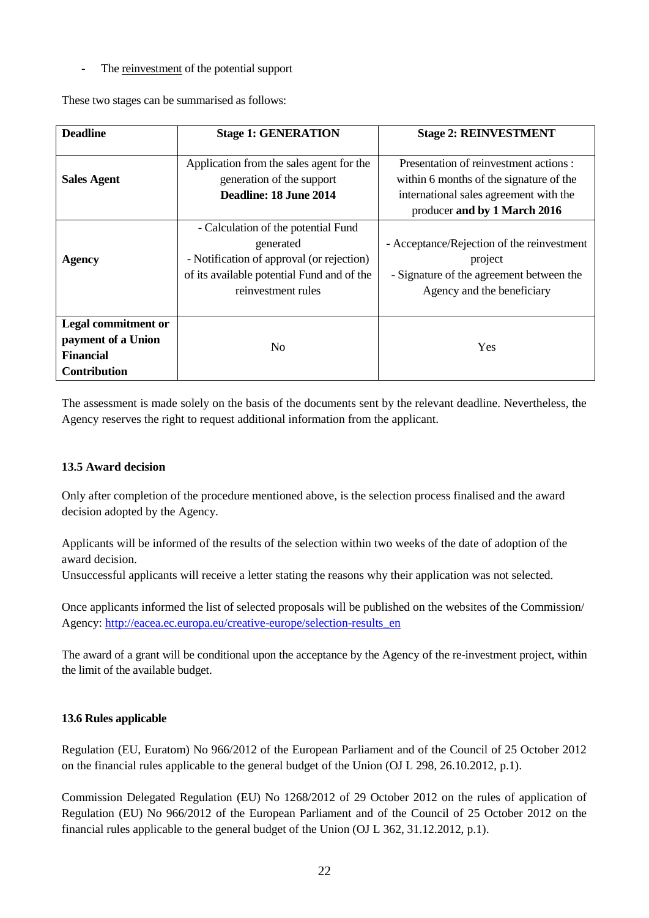- The reinvestment of the potential support

These two stages can be summarised as follows:

| <b>Deadline</b>                                                                             | <b>Stage 1: GENERATION</b>                                                                                                                                        | <b>Stage 2: REINVESTMENT</b>                                                                                                                                |
|---------------------------------------------------------------------------------------------|-------------------------------------------------------------------------------------------------------------------------------------------------------------------|-------------------------------------------------------------------------------------------------------------------------------------------------------------|
| <b>Sales Agent</b>                                                                          | Application from the sales agent for the<br>generation of the support<br>Deadline: 18 June 2014                                                                   | Presentation of reinvestment actions :<br>within 6 months of the signature of the<br>international sales agreement with the<br>producer and by 1 March 2016 |
| <b>Agency</b>                                                                               | - Calculation of the potential Fund<br>generated<br>- Notification of approval (or rejection)<br>of its available potential Fund and of the<br>reinvestment rules | - Acceptance/Rejection of the reinvestment<br>project<br>- Signature of the agreement between the<br>Agency and the beneficiary                             |
| <b>Legal commitment or</b><br>payment of a Union<br><b>Financial</b><br><b>Contribution</b> | N <sub>0</sub>                                                                                                                                                    | Yes                                                                                                                                                         |

The assessment is made solely on the basis of the documents sent by the relevant deadline. Nevertheless, the Agency reserves the right to request additional information from the applicant.

#### **13.5 Award decision**

Only after completion of the procedure mentioned above, is the selection process finalised and the award decision adopted by the Agency.

Applicants will be informed of the results of the selection within two weeks of the date of adoption of the award decision.

Unsuccessful applicants will receive a letter stating the reasons why their application was not selected.

Once applicants informed the list of selected proposals will be published on the websites of the Commission/ Agency: [http://eacea.ec.europa.eu/creative-europe/selection-results\\_en](http://eacea.ec.europa.eu/creative-europe/selection-results_en)

The award of a grant will be conditional upon the acceptance by the Agency of the re-investment project, within the limit of the available budget.

#### **13.6 Rules applicable**

Regulation (EU, Euratom) No 966/2012 of the European Parliament and of the Council of 25 October 2012 on the financial rules applicable to the general budget of the Union (OJ L 298, 26.10.2012, p.1).

Commission Delegated Regulation (EU) No 1268/2012 of 29 October 2012 on the rules of application of Regulation (EU) No 966/2012 of the European Parliament and of the Council of 25 October 2012 on the financial rules applicable to the general budget of the Union (OJ L 362, 31.12.2012, p.1).